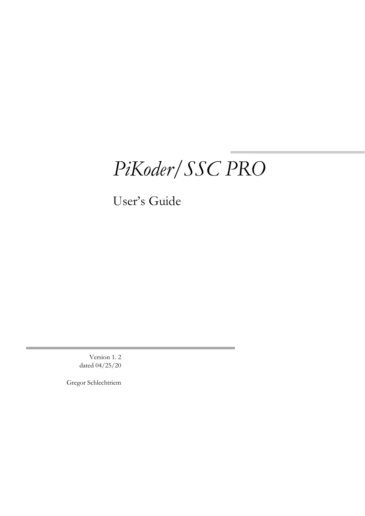## *PiKoder/SSC PRO*

User's Guide

Version 1. 2 dated 04/25/20

Gregor Schlechtriem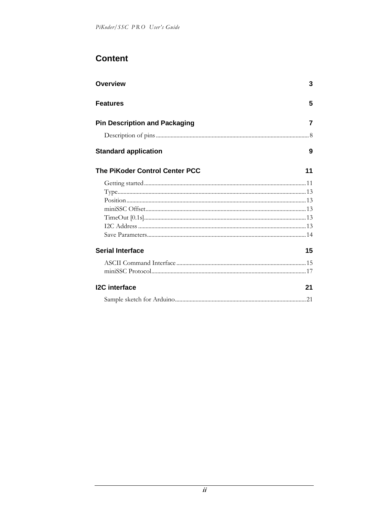#### **Content**

| <b>Overview</b>                       | 3  |
|---------------------------------------|----|
| Features                              | 5  |
| <b>Pin Description and Packaging</b>  | 7  |
|                                       |    |
| <b>Standard application</b>           | 9  |
| <b>The PiKoder Control Center PCC</b> | 11 |
|                                       |    |
|                                       |    |
|                                       |    |
|                                       |    |
|                                       |    |
|                                       |    |
|                                       |    |
| <b>Serial Interface</b>               | 15 |
|                                       |    |
|                                       |    |
| <b>I2C</b> interface                  | 21 |
|                                       |    |
|                                       |    |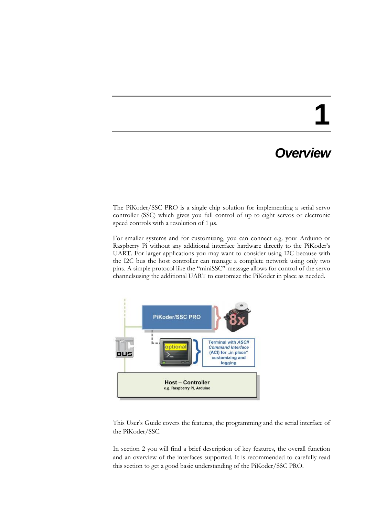### *Overview*

The PiKoder/SSC PRO is a single chip solution for implementing a serial servo controller (SSC) which gives you full control of up to eight servos or electronic speed controls with a resolution of 1  $\mu$ s.

For smaller systems and for customizing, you can connect e.g. your Arduino or Raspberry Pi without any additional interface hardware directly to the PiKoder's UART. For larger applications you may want to consider using I2C because with the I2C bus the host controller can manage a complete network using only two pins. A simple protocol like the "miniSSC"-message allows for control of the servo channelsusing the additional UART to customize the PiKoder in place as needed.



This User's Guide covers the features, the programming and the serial interface of the PiKoder/SSC.

In section 2 you will find a brief description of key features, the overall function and an overview of the interfaces supported. It is recommended to carefully read this section to get a good basic understanding of the PiKoder/SSC PRO.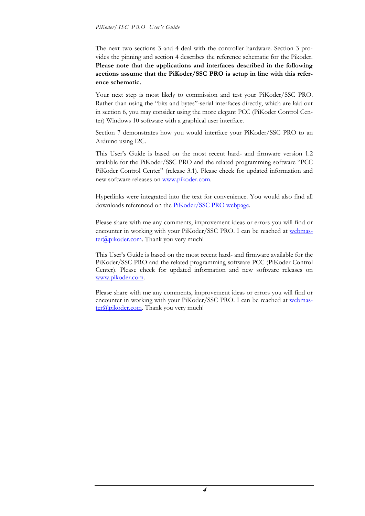The next two sections 3 and 4 deal with the controller hardware. Section 3 provides the pinning and section 4 describes the reference schematic for the Pikoder. **Please note that the applications and interfaces described in the following sections assume that the PiKoder/SSC PRO is setup in line with this reference schematic.**

Your next step is most likely to commission and test your PiKoder/SSC PRO. Rather than using the "bits and bytes"-serial interfaces directly, which are laid out in section 6, you may consider using the more elegant PCC (PiKoder Control Center) Windows 10 software with a graphical user interface.

Section 7 demonstrates how you would interface your PiKoder/SSC PRO to an Arduino using I2C.

This User's Guide is based on the most recent hard- and firmware version 1.2 available for the PiKoder/SSC PRO and the related programming software "PCC PiKoder Control Center" (release 3.1). Please check for updated information and new software releases on [www.pikoder.com.](http://www.pikoder.com/)

Hyperlinks were integrated into the text for convenience. You would also find all downloads referenced on the [PiKoder/SSC PRO webpage.](https://pikoder.de/PiKoder_SSC_PRO.html)

Please share with me any comments, improvement ideas or errors you will find or encounter in working with your PiKoder/SSC PRO. I can be reached at [webmas](mailto:webmaster@pikoder.com)[ter@pikoder.com.](mailto:webmaster@pikoder.com) Thank you very much!

This User's Guide is based on the most recent hard- and firmware available for the PiKoder/SSC PRO and the related programming software PCC (PiKoder Control Center). Please check for updated information and new software releases on [www.pikoder.com.](http://www.pikoder.com/)

Please share with me any comments, improvement ideas or errors you will find or encounter in working with your PiKoder/SSC PRO. I can be reached at [webmas](mailto:webmaster@pikoder.com)[ter@pikoder.com.](mailto:webmaster@pikoder.com) Thank you very much!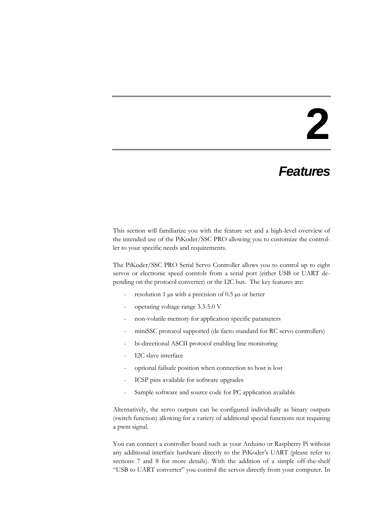#### *Features*

This section will familiarize you with the feature set and a high-level overview of the intended use of the PiKoder/SSC PRO allowing you to customize the controller to your specific needs and requirements.

The PiKoder/SSC PRO Serial Servo Controller allows you to control up to eight servos or electronic speed controls from a serial port (either USB or UART depending on the protocol converter) or the I2C bus. The key features are:

- resolution 1  $\mu$ s with a precision of 0.5  $\mu$ s or better
- operating voltage range 3.3-5.0 V
- non-volatile memory for application specific parameters
- miniSSC protocol supported (de facto standard for RC servo controllers)
- bi-directional ASCII protocol enabling line monitoring
- I2C slave interface
- optional failsafe position when connection to host is lost
- ICSP pins available for software upgrades
- Sample software and source code for PC application available

Alternatively, the servo outputs can be configured individually as binary outputs (switch function) allowing for a variety of additional special functions not requiring a pwm signal.

You can connect a controller board such as your Arduino or Raspberry Pi without any additional interface hardware directly to the PiKoder's UART (please refer to sections 7 and 8 for more details). With the addition of a simple off-the-shelf "USB to UART converter" you control the servos directly from your computer. In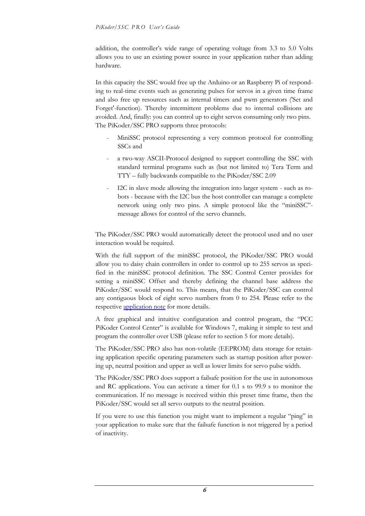addition, the controller's wide range of operating voltage from 3.3 to 5.0 Volts allows you to use an existing power source in your application rather than adding hardware.

In this capacity the SSC would free up the Arduino or an Raspberry Pi of responding to real-time events such as generating pulses for servos in a given time frame and also free up resources such as internal timers and pwm generators ('Set and Forget'-function). Thereby intermittent problems due to internal collisions are avoided. And, finally: you can control up to eight servos consuming only two pins. The PiKoder/SSC PRO supports three protocols:

- MiniSSC protocol representing a very common protocol for controlling SSCs and
- a two-way ASCII-Protocol designed to support controlling the SSC with standard terminal programs such as (but not limited to) Tera Term and TTY – fully backwards compatible to the PiKoder/SSC 2.09
- I2C in slave mode allowing the integration into larger system such as robots - because with the I2C bus the host controller can manage a complete network using only two pins. A simple protocol like the "miniSSC" message allows for control of the servo channels.

The PiKoder/SSC PRO would automatically detect the protocol used and no user interaction would be required.

With the full support of the miniSSC protocol, the PiKoder/SSC PRO would allow you to daisy chain controllers in order to control up to 255 servos as specified in the miniSSC protocol definition. The SSC Control Center provides for setting a miniSSC Offset and thereby defining the channel base address the PiKoder/SSC would respond to. This means, that the PiKoder/SSC can control any contiguous block of eight servo numbers from 0 to 254. Please refer to the respective [application note](http://www.pikoder.de/download/AN02%20-%20Daisy%20Chaining.pdf) for more details.

A free graphical and intuitive configuration and control program, the "PCC PiKoder Control Center" is available for Windows 7, making it simple to test and program the controller over USB (please refer to section 5 for more details).

The PiKoder/SSC PRO also has non-volatile (EEPROM) data storage for retaining application specific operating parameters such as startup position after powering up, neutral position and upper as well as lower limits for servo pulse width.

The PiKoder/SSC PRO does support a failsafe position for the use in autonomous and RC applications. You can activate a timer for 0.1 s to 99.9 s to monitor the communication. If no message is received within this preset time frame, then the PiKoder/SSC would set all servo outputs to the neutral position.

If you were to use this function you might want to implement a regular "ping" in your application to make sure that the failsafe function is not triggered by a period of inactivity.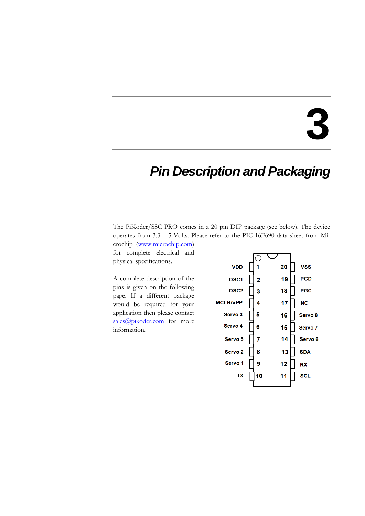### *Pin Description and Packaging*

The PiKoder/SSC PRO comes in a 20 pin DIP package (see below). The device operates from 3.3 – 5 Volts. Please refer to the PIC 16F690 data sheet from Mi-

crochip [\(www.microchip.com\)](http://www.microchip.com/) for complete electrical and physical specifications.

A complete description of the pins is given on the following page. If a different package would be required for your application then please contact [sales@pikoder.com](mailto:sales@pikoder.com) for more information.

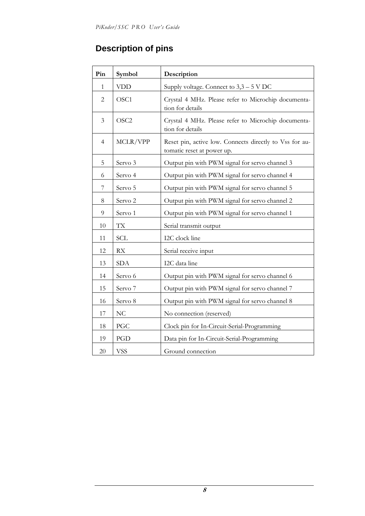#### **Description of pins**

| Pin            | Symbol             | Description                                                                           |  |  |
|----------------|--------------------|---------------------------------------------------------------------------------------|--|--|
| 1              | <b>VDD</b>         | Supply voltage. Connect to 3,3 - 5 V DC                                               |  |  |
| 2              | OSC1               | Crystal 4 MHz. Please refer to Microchip documenta-<br>tion for details               |  |  |
| $\mathfrak{Z}$ | OSC <sub>2</sub>   | Crystal 4 MHz. Please refer to Microchip documenta-<br>tion for details               |  |  |
| $\overline{4}$ | MCLR/VPP           | Reset pin, active low. Connects directly to Vss for au-<br>tomatic reset at power up. |  |  |
| 5              | Servo 3            | Output pin with PWM signal for servo channel 3                                        |  |  |
| 6              | Servo 4            | Output pin with PWM signal for servo channel 4                                        |  |  |
| 7              | Servo 5            | Output pin with PWM signal for servo channel 5                                        |  |  |
| $8\,$          | Servo <sub>2</sub> | Output pin with PWM signal for servo channel 2                                        |  |  |
| 9              | Servo 1            | Output pin with PWM signal for servo channel 1                                        |  |  |
| 10             | <b>TX</b>          | Serial transmit output                                                                |  |  |
| 11             | <b>SCL</b>         | I2C clock line                                                                        |  |  |
| 12             | RX                 | Serial receive input                                                                  |  |  |
| 13             | <b>SDA</b>         | I2C data line                                                                         |  |  |
| 14             | Servo 6            | Output pin with PWM signal for servo channel 6                                        |  |  |
| 15             | Servo 7            | Output pin with PWM signal for servo channel 7                                        |  |  |
| 16             | Servo 8            | Output pin with PWM signal for servo channel 8                                        |  |  |
| 17             | NC                 | No connection (reserved)                                                              |  |  |
| 18             | PGC                | Clock pin for In-Circuit-Serial-Programming                                           |  |  |
| 19             | PGD                | Data pin for In-Circuit-Serial-Programming                                            |  |  |
| 20             | <b>VSS</b>         | Ground connection                                                                     |  |  |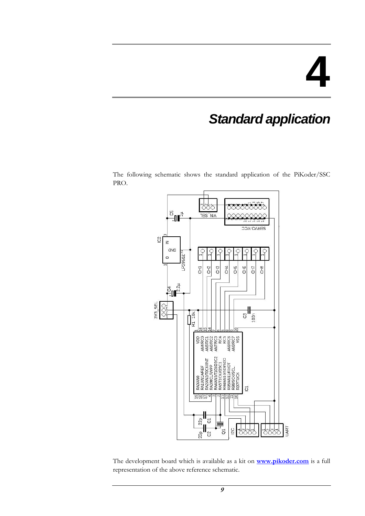### *Standard application*

The following schematic shows the standard application of the PiKoder/SSC PRO.



The development board which is available as a kit on **[www.pikoder.com](http://www.pikoder.com/)** is a full representation of the above reference schematic.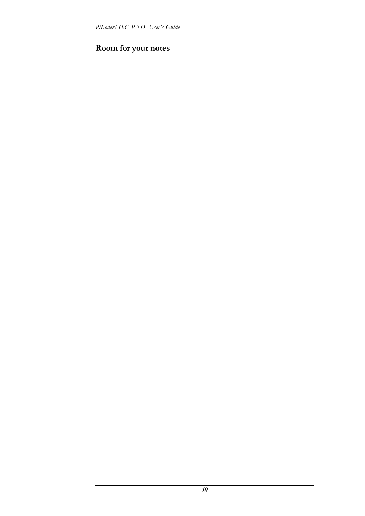*PiKoder/SSC P R O User's Guide*

#### **Room for your notes**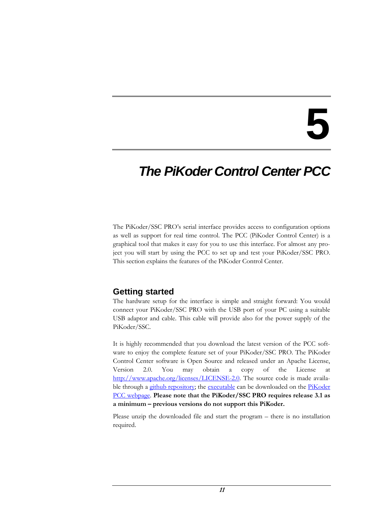### *The PiKoder Control Center PCC*

The PiKoder/SSC PRO's serial interface provides access to configuration options as well as support for real time control. The PCC (PiKoder Control Center) is a graphical tool that makes it easy for you to use this interface. For almost any project you will start by using the PCC to set up and test your PiKoder/SSC PRO. This section explains the features of the PiKoder Control Center.

#### **Getting started**

The hardware setup for the interface is simple and straight forward: You would connect your PiKoder/SSC PRO with the USB port of your PC using a suitable USB adaptor and cable. This cable will provide also for the power supply of the PiKoder/SSC.

It is highly recommended that you download the latest version of the PCC software to enjoy the complete feature set of your PiKoder/SSC PRO. The PiKoder Control Center software is Open Source and released under an Apache License, Version 2.0. You may obtain a copy of the License at [http://www.apache.org/licenses/LICENSE-2.0.](http://www.apache.org/licenses/LICENSE-2.0) The source code is made available through a [github repository;](https://github.com/Pikoder/PCC_PiKoder_Control_Center) the [executable](http://www.pikoder.de/download/PCC%20PiKoder%20Control%20Center.zip) can be downloaded on the PiKoder [PCC webpage.](https://pikoder.de/PiKoder_PCC.html) **Please note that the PiKoder/SSC PRO requires release 3.1 as a minimum – previous versions do not support this PiKoder.**

Please unzip the downloaded file and start the program – there is no installation required.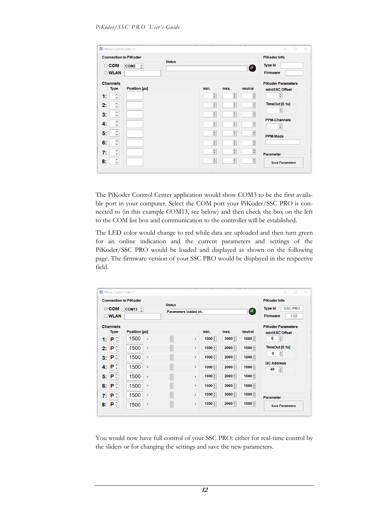| <b>Connection to PiKoder</b><br><b>Status</b><br>$\Box$ COM<br>COM <sub>3</sub><br>$\hat{\mathbf{C}}$<br><b>DWLAN</b> |                           |                           | $\blacksquare$            | <b>PiKoder Info</b><br><b>Type Id</b><br><b>Firmware</b> |
|-----------------------------------------------------------------------------------------------------------------------|---------------------------|---------------------------|---------------------------|----------------------------------------------------------|
| <b>Channels</b><br>Position [µs]<br><b>Type</b>                                                                       | min.                      | max.                      | neutral                   | <b>PiKoder Parameters</b><br>miniSSC Offset              |
| $\frac{1}{2}$<br>1:                                                                                                   | ÷                         | $\div$                    | 듺                         | ÷                                                        |
| $\hat{}$<br>2:<br>$\checkmark$                                                                                        | $\frac{\bullet}{\bullet}$ | $\div$                    | $\frac{\bullet}{\bullet}$ | TimeOut [0.1s]                                           |
| $\land$<br>3:<br>$\checkmark$                                                                                         | $\div$                    | $\frac{\bullet}{\bullet}$ | $\div$                    | ÷                                                        |
| $\hat{\phantom{a}}$<br>4.                                                                                             | $\frac{\star}{\star}$     | $\frac{1}{\sqrt{2}}$      | $\div$                    | <b>PPM-Channels</b><br>$\div$                            |
| $\hat{\cdot}$<br>5 <sub>1</sub>                                                                                       | $\frac{1}{\sqrt{2}}$      | $\overline{\div}$         | $\overline{\div}$         | <b>PPM-Mode</b>                                          |
| $\hat{\cdot}$<br>6:                                                                                                   | $\frac{1}{\tau}$          | $\frac{1}{\tau}$          | $\frac{1}{\bullet}$       |                                                          |
| $\hat{\cdot}$<br>7:                                                                                                   | $\div$                    | $\frac{1}{\tau}$          | $\frac{\bullet}{\bullet}$ | Parameter                                                |
| $\hat{\phantom{a}}$<br>8:                                                                                             | $\div$                    | $\frac{\bullet}{\bullet}$ | $\div$                    | <b>Save Parameters</b>                                   |

The PiKoder Control Center application would show COM3 to be the first available port in your computer. Select the COM port your PiKoder/SSC PRO is connected to (in this example COM13, see below) and then check the box on the left to the COM list box and communication to the controller will be established.

The LED color would change to red while data are uploaded and then turn green for an online indication and the current parameters and settings of the PiKoder/SSC PRO would be loaded and displayed as shown on the following page. The firmware version of your SSC PRO would be displayed in the respective field.

|                |                                        | <b>Connection to PiKoder</b>     |                                        |          |          |               | <b>PiKoder Info</b>                                  |
|----------------|----------------------------------------|----------------------------------|----------------------------------------|----------|----------|---------------|------------------------------------------------------|
|                | $\boxdot$ COM<br>$\square$ WLAN        | $COM13$ $\hat{C}$                | <b>Status</b><br>Parameters loaded ok. |          |          | $\mathcal{P}$ | <b>SSC PRO</b><br><b>Type Id</b><br>Firmware<br>1.02 |
|                | <b>Channels</b>                        |                                  |                                        |          |          |               | <b>PiKoder Parameters</b>                            |
|                | <b>Type</b>                            | <b>Position [µs]</b>             |                                        | min.     | max.     | neutral       | miniSSC Offset                                       |
| 1:             | $\mathsf{P} \mathop{}_{\circ}^{\circ}$ | 1500<br>$\overline{\phantom{a}}$ | $\,$                                   | $1000 -$ | $2000 -$ | $1500 -$      | $\div$<br>0                                          |
| $2^{\circ}$    | $\mathbf{P} \circ$                     | 1500<br>$\checkmark$             | $\,$                                   | $1000 -$ | $2000 -$ | 1500          | TimeOut [0.1s]                                       |
| 3 <sub>1</sub> | $\mathbf{P} \circ$                     | 1500<br>$\hat{~}$                | $\,$                                   | $1000 -$ | $2000 -$ | $1500 -$      | ÷<br>0                                               |
| 4.             | $\mathbf{P} \circ$                     | 1500<br>$\hat{~}$                | $\,$                                   | $1000 -$ | $2000 -$ | $1500 -$      | <b>I2C Address</b><br>$\div$<br>40                   |
| 5:             | $\mathsf{P} \mathop{}_{\circ}^{\circ}$ | 1500<br>$\hat{~}$                | $\rightarrow$                          | $1000 -$ | $2000 -$ | $1500 -$      |                                                      |
| 6:             | $\mathsf{P} \mathop{}_{\circ}^{\circ}$ | 1500<br>$\hat{~}$                | $\rightarrow$                          | $1000 -$ | $2000 -$ | $1500 -$      |                                                      |
| 7:             | $\mathsf{P} \mathop{}_{\circ}^{\circ}$ | 1500<br>$\,<$                    | $\rightarrow$                          | $1000 -$ | $2000 -$ | $1500 -$      | <b>Parameter</b>                                     |
| 8:             | $\mathsf{P} \mathop{}_{\circ}^{\circ}$ | 1500<br>$\overline{\phantom{a}}$ | $\rightarrow$                          | $1000 -$ | $2000 -$ | $1500 -$      | <b>Save Parameters</b>                               |

You would now have full control of your SSC PRO: either for real-time control by the sliders or for changing the settings and save the new parameters.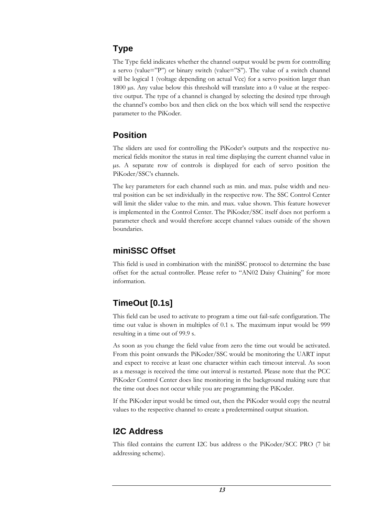#### **Type**

The Type field indicates whether the channel output would be pwm for controlling a servo (value="P") or binary switch (value="S"). The value of a switch channel will be logical 1 (voltage depending on actual Vcc) for a servo position larger than 1800 µs. Any value below this threshold will translate into a 0 value at the respective output. The type of a channel is changed by selecting the desired type through the channel's combo box and then click on the box which will send the respective parameter to the PiKoder.

#### **Position**

The sliders are used for controlling the PiKoder's outputs and the respective numerical fields monitor the status in real time displaying the current channel value in µs. A separate row of controls is displayed for each of servo position the PiKoder/SSC's channels.

The key parameters for each channel such as min. and max. pulse width and neutral position can be set individually in the respective row. The SSC Control Center will limit the slider value to the min. and max. value shown. This feature however is implemented in the Control Center. The PiKoder/SSC itself does not perform a parameter check and would therefore accept channel values outside of the shown boundaries.

#### **miniSSC Offset**

This field is used in combination with the miniSSC protocol to determine the base offset for the actual controller. Please refer to "AN02 Daisy Chaining" for more information.

#### **TimeOut [0.1s]**

This field can be used to activate to program a time out fail-safe configuration. The time out value is shown in multiples of 0.1 s. The maximum input would be 999 resulting in a time out of 99.9 s.

As soon as you change the field value from zero the time out would be activated. From this point onwards the PiKoder/SSC would be monitoring the UART input and expect to receive at least one character within each timeout interval. As soon as a message is received the time out interval is restarted. Please note that the PCC PiKoder Control Center does line monitoring in the background making sure that the time out does not occur while you are programming the PiKoder.

If the PiKoder input would be timed out, then the PiKoder would copy the neutral values to the respective channel to create a predetermined output situation.

#### **I2C Address**

This filed contains the current I2C bus address o the PiKoder/SCC PRO (7 bit addressing scheme).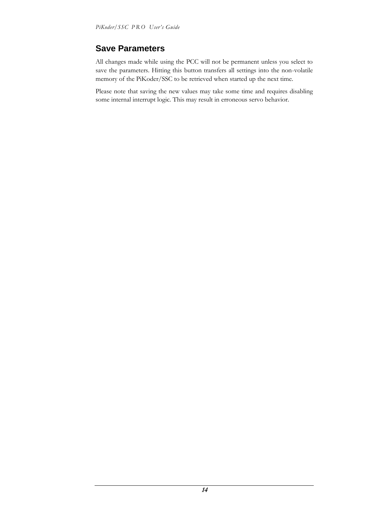#### **Save Parameters**

All changes made while using the PCC will not be permanent unless you select to save the parameters. Hitting this button transfers all settings into the non-volatile memory of the PiKoder/SSC to be retrieved when started up the next time.

Please note that saving the new values may take some time and requires disabling some internal interrupt logic. This may result in erroneous servo behavior.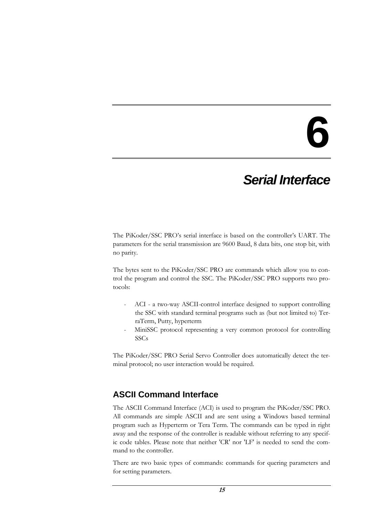### *Serial Interface*

The PiKoder/SSC PRO's serial interface is based on the controller's UART. The parameters for the serial transmission are 9600 Baud, 8 data bits, one stop bit, with no parity.

The bytes sent to the PiKoder/SSC PRO are commands which allow you to control the program and control the SSC. The PiKoder/SSC PRO supports two protocols:

- ACI a two-way ASCII-control interface designed to support controlling the SSC with standard terminal programs such as (but not limited to) TerraTerm, Putty, hyperterm
- MiniSSC protocol representing a very common protocol for controlling SSCs

The PiKoder/SSC PRO Serial Servo Controller does automatically detect the terminal protocol; no user interaction would be required.

#### **ASCII Command Interface**

The ASCII Command Interface (ACI) is used to program the PiKoder/SSC PRO. All commands are simple ASCII and are sent using a Windows based terminal program such as Hyperterm or Tera Term. The commands can be typed in right away and the response of the controller is readable without referring to any specific code tables. Please note that neither 'CR' nor 'LF' is needed to send the command to the controller.

There are two basic types of commands: commands for quering parameters and for setting parameters.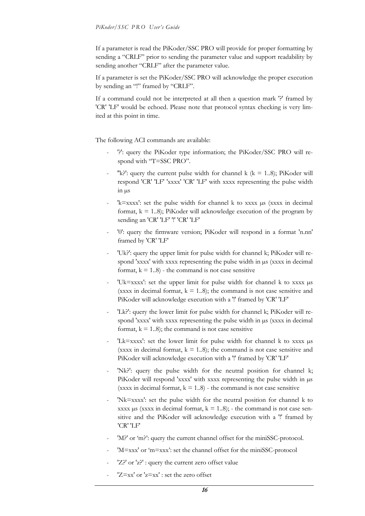If a parameter is read the PiKoder/SSC PRO will provide for proper formatting by sending a "CRLF" prior to sending the parameter value and support readability by sending another "CRLF" after the parameter value.

If a parameter is set the PiKoder/SSC PRO will acknowledge the proper execution by sending an "!" framed by "CRLF".

If a command could not be interpreted at all then a question mark '?' framed by 'CR' 'LF' would be echoed. Please note that protocol syntax checking is very limited at this point in time.

The following ACI commands are available:

- '?': query the PiKoder type information; the PiKoder/SSC PRO will respond with "T=SSC PRO".
- "k?': query the current pulse width for channel k ( $k = 1..8$ ); PiKoder will respond 'CR' 'LF' 'xxxx' 'CR' 'LF' with xxxx representing the pulse width  $\sin \mu s$
- $k = x$ xxx: set the pulse width for channel k to xxxx  $\mu s$  (xxxx in decimal format,  $k = 1.8$ ); PiKoder will acknowledge execution of the program by sending an 'CR' 'LF' '!' 'CR' 'LF'
- '0': query the firmware version; PiKoder will respond in a format 'n.nn' framed by 'CR' 'LF'
- 'Uk?': query the upper limit for pulse width for channel k; PiKoder will respond 'xxxx' with xxxx representing the pulse width in  $\mu$ s (xxxx in decimal format,  $k = 1.8$ ) - the command is not case sensitive
- 'Uk=xxxx': set the upper limit for pulse width for channel k to xxxx µs (xxxx in decimal format,  $k = 1.8$ ); the command is not case sensitive and PiKoder will acknowledge execution with a "!' framed by 'CR' 'LF'
- 'Lk?': query the lower limit for pulse width for channel k; PiKoder will respond 'xxxx' with xxxx representing the pulse width in  $\mu$ s (xxxx in decimal format,  $k = 1.8$ ; the command is not case sensitive
- 'Lk=xxxx': set the lower limit for pulse width for channel k to xxxx µs (xxxx in decimal format,  $k = 1.8$ ); the command is not case sensitive and PiKoder will acknowledge execution with a "! framed by 'CR' 'LF'
- 'Nk?': query the pulse width for the neutral position for channel k; PiKoder will respond 'xxxx' with xxxx representing the pulse width in  $\mu$ s (xxxx in decimal format,  $k = 1..8$ ) - the command is not case sensitive
- 'Nk=xxxx': set the pulse width for the neutral position for channel k to xxxx  $\mu$ s (xxxx in decimal format,  $k = 1..8$ ); - the command is not case sensitive and the PiKoder will acknowledge execution with a '!' framed by 'CR' 'LF'
- 'M?' or 'm?': query the current channel offset for the miniSSC-protocol.
- 'M=xxx' or 'm=xxx': set the channel offset for the miniSSC-protocol
- 'Z?' or 'z?' : query the current zero offset value
- $'Z=xx'$  or  $'z=xx'$ : set the zero offset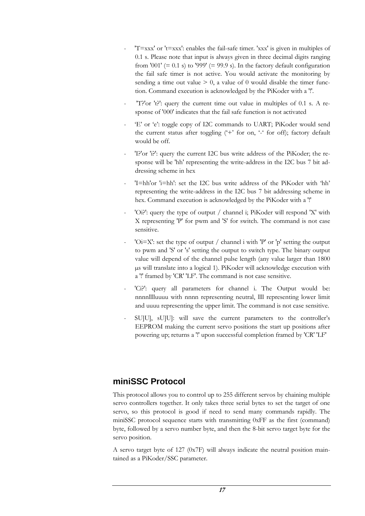- $T=xxx'$  or 't=xxx': enables the fail-safe timer. 'xxx' is given in multiples of 0.1 s. Please note that input is always given in three decimal digits ranging from '001'  $(= 0.1 \text{ s})$  to '999'  $(= 99.9 \text{ s})$ . In the factory default configuration the fail safe timer is not active. You would activate the monitoring by sending a time out value  $> 0$ , a value of 0 would disable the timer function. Command execution is acknowledged by the PiKoder with a '!'.
- 'T?'or 't?': query the current time out value in multiples of 0.1 s. A response of '000' indicates that the fail safe function is not activated
- 'E' or 'e': toggle copy of I2C commands to UART; PiKoder would send the current status after toggling  $(4)$  for on,  $(4)$  for off); factory default would be off.
- 'I?'or 'i?': query the current I2C bus write address of the PiKoder; the response will be 'hh' representing the write-address in the I2C bus 7 bit addressing scheme in hex
- 'I=hh'or 'i=hh': set the I2C bus write address of the PiKoder with 'hh' representing the write-address in the I2C bus 7 bit addressing scheme in hex. Command execution is acknowledged by the PiKoder with a '!'
- 'Oi?': query the type of output / channel i; PiKoder will respond 'X' with X representing 'P' for pwm and 'S' for switch. The command is not case sensitive.
- ' $Oi=X'$ : set the type of output / channel i with 'P' or 'p' setting the output to pwm and 'S' or 's' setting the output to switch type. The binary output value will depend of the channel pulse length (any value larger than 1800 µs will translate into a logical 1). PiKoder will acknowledge execution with a '!' framed by 'CR' 'LF'. The command is not case sensitive.
- 'Gi?': query all parameters for channel i. The Output would be: nnnnlllluuuu with nnnn representing neutral, llll representing lower limit and uuuu representing the upper limit. The command is not case sensitive.
- SU]U], sU]U]: will save the current parameters to the controller's EEPROM making the current servo positions the start up positions after powering up; returns a '!' upon successful completion framed by 'CR' 'LF'

#### **miniSSC Protocol**

This protocol allows you to control up to 255 different servos by chaining multiple servo controllers together. It only takes three serial bytes to set the target of one servo, so this protocol is good if need to send many commands rapidly. The miniSSC protocol sequence starts with transmitting 0xFF as the first (command) byte, followed by a servo number byte, and then the 8-bit servo target byte for the servo position.

A servo target byte of 127 (0x7F) will always indicate the neutral position maintained as a PiKoder/SSC parameter.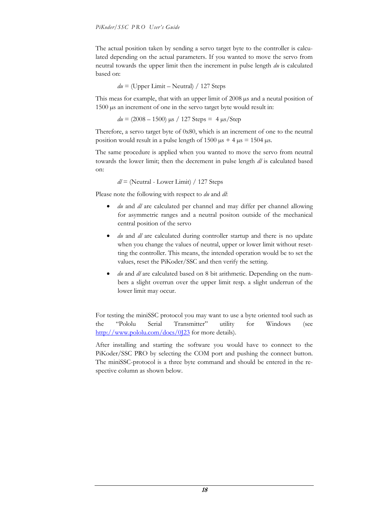The actual position taken by sending a servo target byte to the controller is calculated depending on the actual parameters. If you wanted to move the servo from neutral towards the upper limit then the increment in pulse length *du* is calculated based on:

$$
du =
$$
 (Upper Limit – Neutral) / 127 Steps

This meas for example, that with an upper limit of 2008  $\mu$ s and a neutal position of 1500 µs an increment of one in the servo target byte would result in:

$$
du = (2008 - 1500) \,\mu s / 127 \,\text{Steps} = 4 \,\mu s / \text{Step}
$$

Therefore, a servo target byte of 0x80, which is an increment of one to the neutral position would result in a pulse length of  $1500 \text{ }\mu\text{s} + 4 \text{ }\mu\text{s} = 1504 \text{ }\mu\text{s}$ .

The same procedure is applied when you wanted to move the servo from neutral towards the lower limit; then the decrement in pulse length *dl* is calculated based on:

*dl* = (Neutral - Lower Limit) / 127 Steps

Please note the following with respect to *du* and *dl*:

- *du* and *dl* are calculated per channel and may differ per channel allowing for asymmetric ranges and a neutral positon outside of the mechanical central position of the servo
- du and *dl* are calculated during controller startup and there is no update when you change the values of neutral, upper or lower limit without resetting the controller. This means, the intended operation would be to set the values, reset the PiKoder/SSC and then verify the setting.
- du and *dl* are calculated based on 8 bit arithmetic. Depending on the numbers a slight overrun over the upper limit resp. a slight underrun of the lower limit may occur.

For testing the miniSSC protocol you may want to use a byte oriented tool such as the "[Pololu Serial Transmitter](http://www.pololu.com/docs/0J23)" utility for Windows (see <http://www.pololu.com/docs/0J23> for more details).

After installing and starting the software you would have to connect to the PiKoder/SSC PRO by selecting the COM port and pushing the connect button. The miniSSC-protocol is a three byte command and should be entered in the respective column as shown below.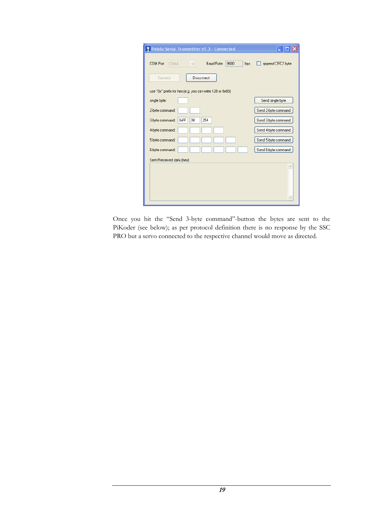| F Pololu Serial Transmitter v1.3 - Connected                        |                     |
|---------------------------------------------------------------------|---------------------|
| COM Port<br>COM4<br><b>Baud Rate</b><br>9600<br>bps<br>$\checkmark$ | append CRC7 byte    |
| Disconnect<br>Connect                                               |                     |
| use "0x" prefix for hex (e.g. you can write 128 or 0x80)            |                     |
| single byte:                                                        | Send single byte    |
| 2-byte command:                                                     | Send 2-byte command |
| 3-byte command:<br>0xFF<br>254<br>08                                | Send 3-byte command |
| 4-byte command:                                                     | Send 4-byte command |
| 5-byte command:                                                     | Send 5-byte command |
| 6-byte command:                                                     | Send 6-byte command |
| Sent/Received data (hex):                                           |                     |
|                                                                     |                     |
|                                                                     |                     |
|                                                                     |                     |
|                                                                     |                     |

Once you hit the "Send 3-byte command"-button the bytes are sent to the PiKoder (see below); as per protocol definition there is no response by the SSC PRO but a servo connected to the respective channel would move as directed.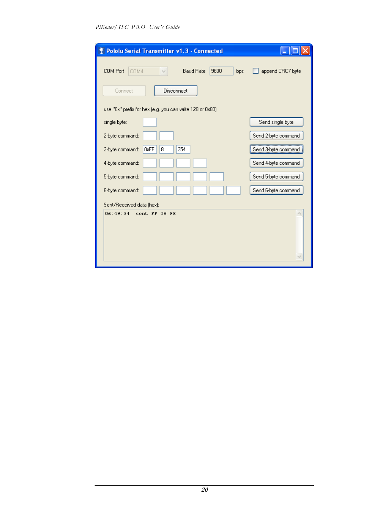| <b>↑ Pololu Serial Transmitter v1.3 - Connected</b>       |                     |
|-----------------------------------------------------------|---------------------|
| 9600<br>COM Port<br><b>Baud Rate</b><br>COM4<br>bps       | append CRC7 byte    |
| Disconnect<br>Connect                                     |                     |
| use "0x" prefix for hex (e.g. you can write 128 or 0x80). |                     |
| single byte:                                              | Send single byte    |
| 2-byte command:                                           | Send 2-byte command |
| 0xFF<br>3-byte command:<br>254<br>8                       | Send 3-byte command |
| 4-byte command:                                           | Send 4-byte command |
| 5-byte command:                                           | Send 5-byte command |
| 6-byte command:                                           | Send 6-byte command |
| Sent/Received data (hex):                                 |                     |
| 06:49:34<br>sent FF 08 FE                                 |                     |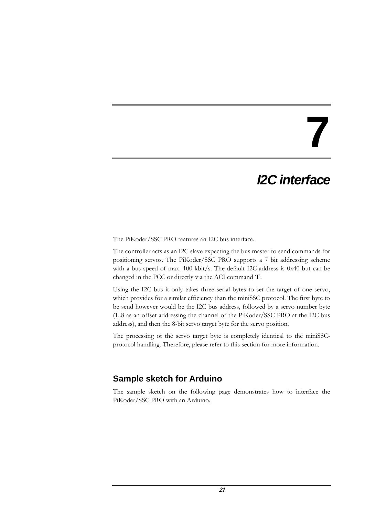## *I2C interface*

The PiKoder/SSC PRO features an I2C bus interface.

The controller acts as an I2C slave expecting the bus master to send commands for positioning servos. The PiKoder/SSC PRO supports a 7 bit addressing scheme with a bus speed of max. 100 kbit/s. The default I2C address is 0x40 but can be changed in the PCC or directly via the ACI command 'I'.

Using the I2C bus it only takes three serial bytes to set the target of one servo, which provides for a similar efficiency than the miniSSC protocol. The first byte to be send however would be the I2C bus address, followed by a servo number byte (1..8 as an offset addressing the channel of the PiKoder/SSC PRO at the I2C bus address), and then the 8-bit servo target byte for the servo position.

The processing ot the servo target byte is completely identical to the miniSSCprotocol handling. Therefore, please refer to this section for more information.

#### **Sample sketch for Arduino**

The sample sketch on the following page demonstrates how to interface the PiKoder/SSC PRO with an Arduino.